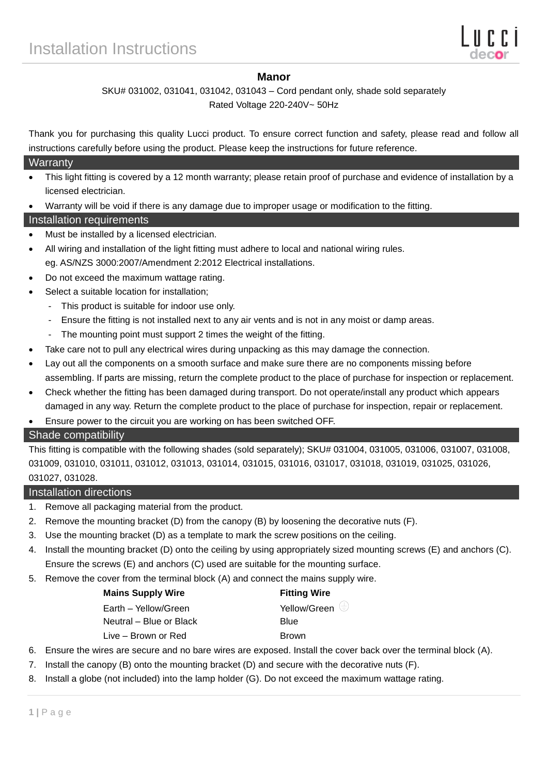## **Manor**

# SKU# 031002, 031041, 031042, 031043 – Cord pendant only, shade sold separately

Rated Voltage 220-240V~ 50Hz

Thank you for purchasing this quality Lucci product. To ensure correct function and safety, please read and follow all instructions carefully before using the product. Please keep the instructions for future reference.

#### **Warranty**

- This light fitting is covered by a 12 month warranty; please retain proof of purchase and evidence of installation by a licensed electrician.
- Warranty will be void if there is any damage due to improper usage or modification to the fitting.

## Installation requirements

- Must be installed by a licensed electrician.
- All wiring and installation of the light fitting must adhere to local and national wiring rules. eg. AS/NZS 3000:2007/Amendment 2:2012 Electrical installations.
- Do not exceed the maximum wattage rating.
- Select a suitable location for installation;
	- This product is suitable for indoor use only.
	- Ensure the fitting is not installed next to any air vents and is not in any moist or damp areas.
	- The mounting point must support 2 times the weight of the fitting.
- Take care not to pull any electrical wires during unpacking as this may damage the connection.
- Lay out all the components on a smooth surface and make sure there are no components missing before assembling. If parts are missing, return the complete product to the place of purchase for inspection or replacement.
- Check whether the fitting has been damaged during transport. Do not operate/install any product which appears damaged in any way. Return the complete product to the place of purchase for inspection, repair or replacement.
- Ensure power to the circuit you are working on has been switched OFF.

### Shade compatibility

This fitting is compatible with the following shades (sold separately); SKU# 031004, 031005, 031006, 031007, 031008, 031009, 031010, 031011, 031012, 031013, 031014, 031015, 031016, 031017, 031018, 031019, 031025, 031026, 031027, 031028.

### Installation directions

- 1. Remove all packaging material from the product.
- 2. Remove the mounting bracket (D) from the canopy (B) by loosening the decorative nuts (F).
- 3. Use the mounting bracket (D) as a template to mark the screw positions on the ceiling.
- 4. Install the mounting bracket (D) onto the ceiling by using appropriately sized mounting screws (E) and anchors (C). Ensure the screws (E) and anchors (C) used are suitable for the mounting surface.
- 5. Remove the cover from the terminal block (A) and connect the mains supply wire.

| Mains Supply Wire |  |  |
|-------------------|--|--|
|-------------------|--|--|

Earth – Yellow/Green  $\overleftrightarrow{C}$  Yellow/Green  $\overleftrightarrow{C}$ Neutral – Blue or Black Blue Live – Brown or Red Brown

**Fitting Wire** 

- 6. Ensure the wires are secure and no bare wires are exposed. Install the cover back over the terminal block (A).
- 7. Install the canopy (B) onto the mounting bracket (D) and secure with the decorative nuts (F).
- 8. Install a globe (not included) into the lamp holder (G). Do not exceed the maximum wattage rating.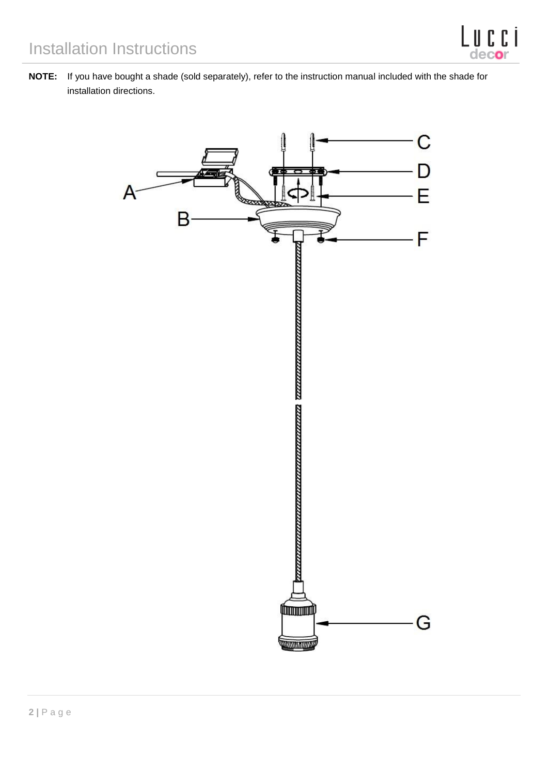**NOTE:** If you have bought a shade (sold separately), refer to the instruction manual included with the shade for installation directions.